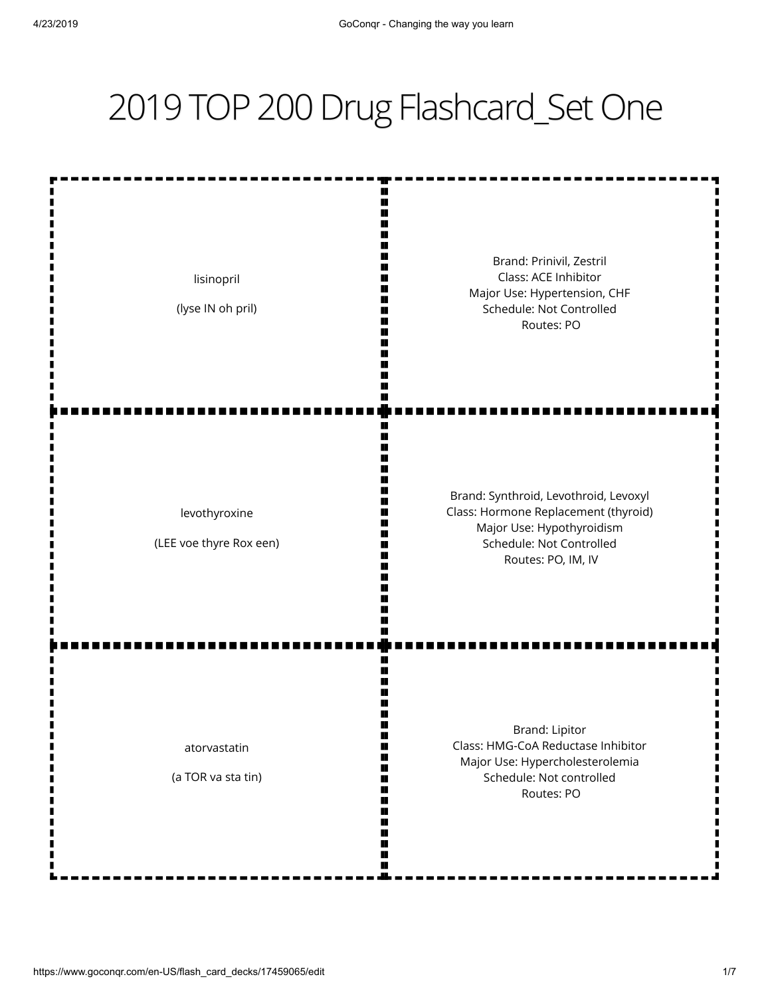## 2019 TOP 200 Drug Flashcard\_Set One

lisinopril (lyse IN oh pril) Brand: Prinivil, Zestril Class: ACE Inhibitor Major Use: Hypertension, CHF Schedule: Not Controlled Routes: PO levothyroxine (LEE voe thyre Rox een) Brand: Synthroid, Levothroid, Levoxyl Class: Hormone Replacement (thyroid) Major Use: Hypothyroidism Schedule: Not Controlled Routes: PO, IM, IV atorvastatin (a TOR va sta tin) Brand: Lipitor Class: HMG-CoA Reductase Inhibitor Major Use: Hypercholesterolemia Schedule: Not controlled Routes: PO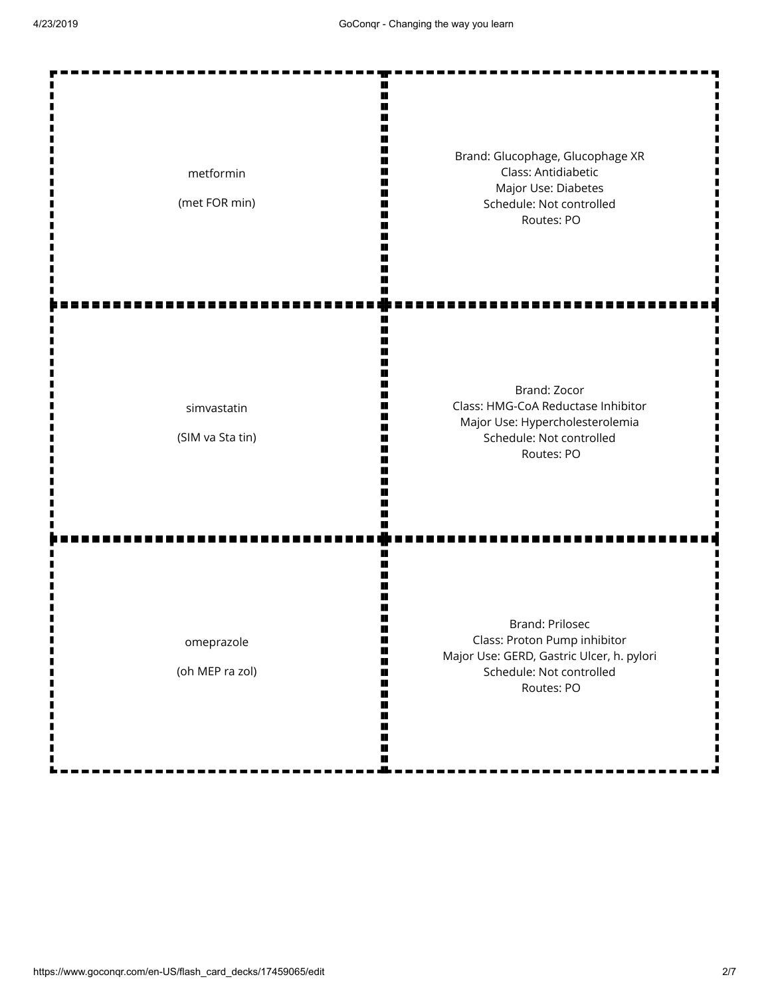| metformin<br>(met FOR min)      | Brand: Glucophage, Glucophage XR<br>Class: Antidiabetic<br>Major Use: Diabetes<br>Schedule: Not controlled<br>Routes: PO                      |
|---------------------------------|-----------------------------------------------------------------------------------------------------------------------------------------------|
| simvastatin<br>(SIM va Sta tin) | Brand: Zocor<br>Class: HMG-CoA Reductase Inhibitor<br>Major Use: Hypercholesterolemia<br>Schedule: Not controlled<br>Routes: PO               |
| omeprazole<br>(oh MEP ra zol)   | <b>Brand: Prilosec</b><br>Class: Proton Pump inhibitor<br>Major Use: GERD, Gastric Ulcer, h. pylori<br>Schedule: Not controlled<br>Routes: PO |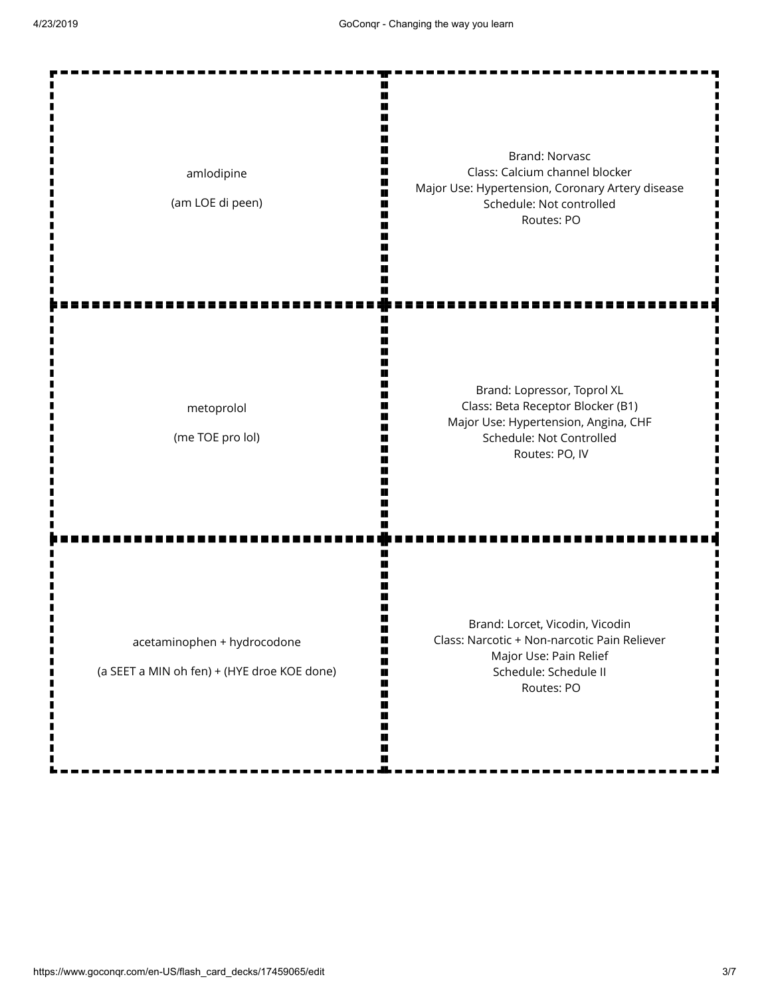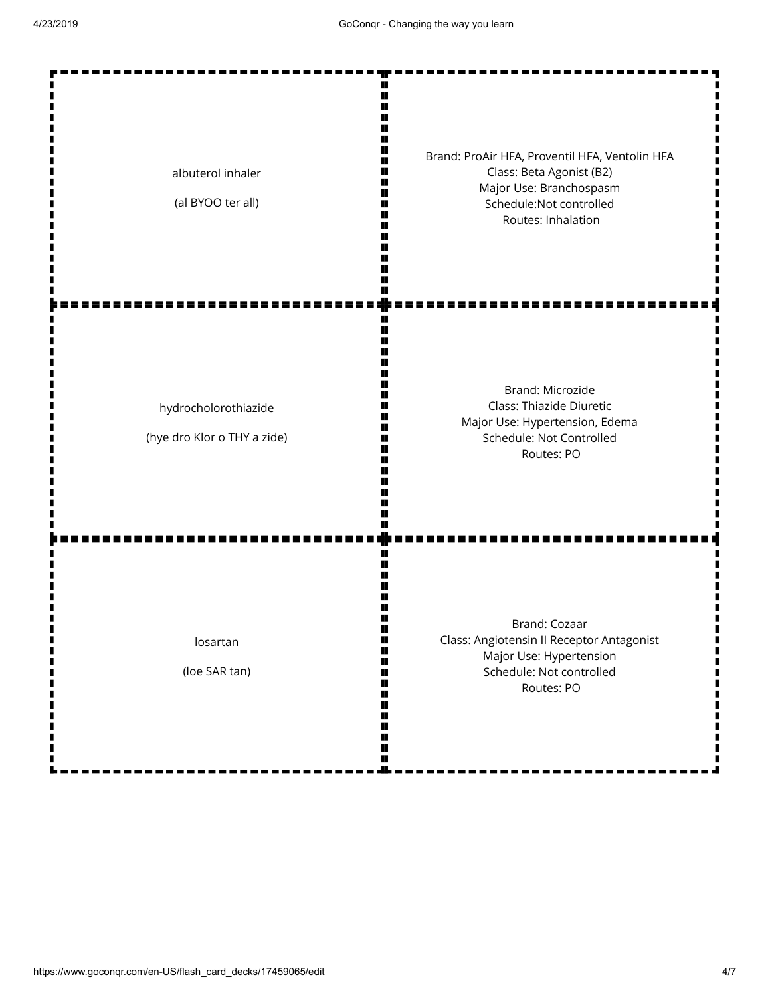| albuterol inhaler<br>(al BYOO ter all)              | Brand: ProAir HFA, Proventil HFA, Ventolin HFA<br>Class: Beta Agonist (B2)<br>Major Use: Branchospasm<br>Schedule:Not controlled<br>Routes: Inhalation |
|-----------------------------------------------------|--------------------------------------------------------------------------------------------------------------------------------------------------------|
| hydrocholorothiazide<br>(hye dro Klor o THY a zide) | <b>Brand: Microzide</b><br>Class: Thiazide Diuretic<br>Major Use: Hypertension, Edema<br>Schedule: Not Controlled<br>Routes: PO                        |
| losartan<br>(loe SAR tan)                           | Brand: Cozaar<br>Class: Angiotensin II Receptor Antagonist<br>Major Use: Hypertension<br>Schedule: Not controlled<br>Routes: PO                        |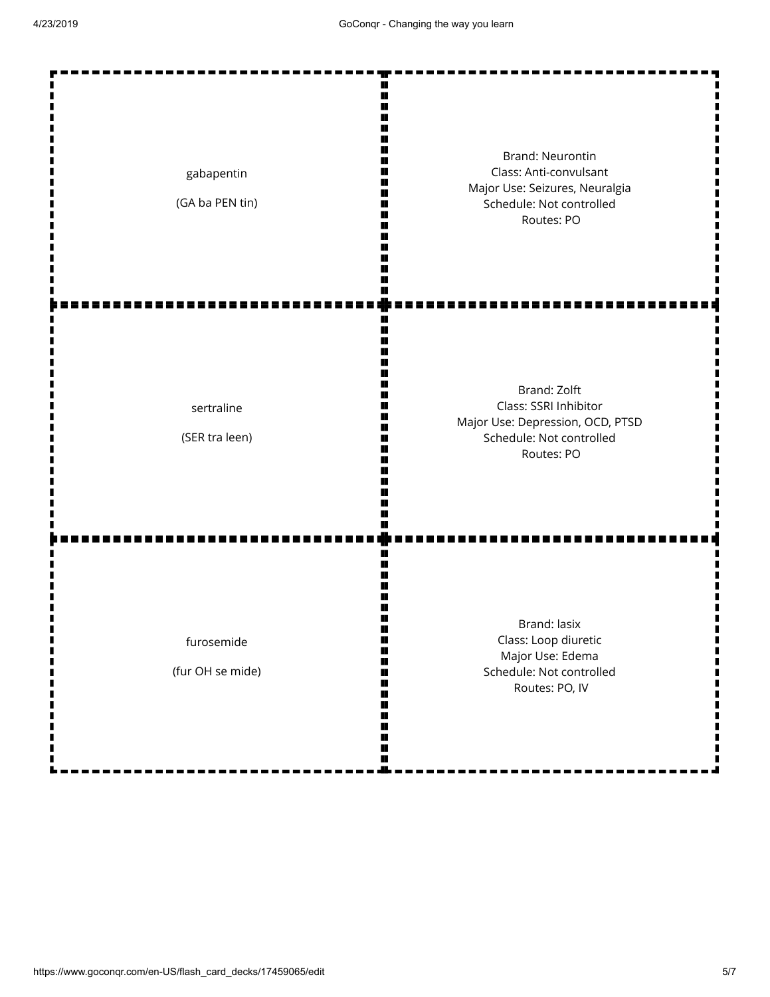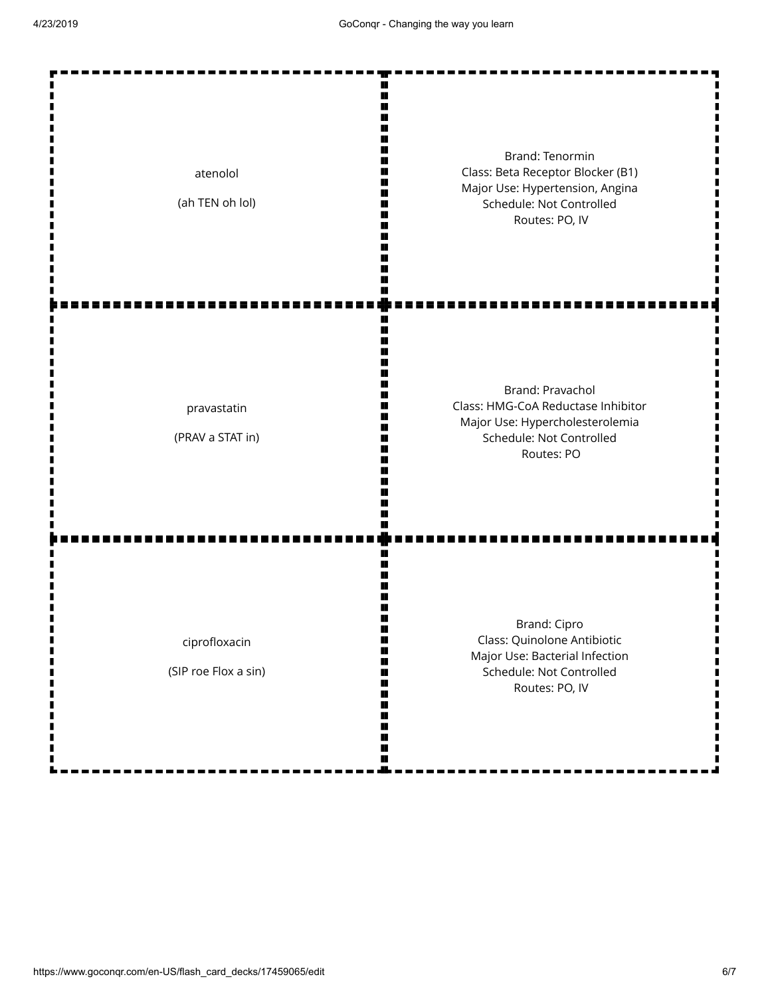